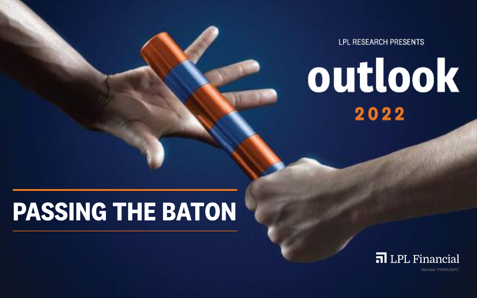**LPL RESEARCH PRESENTS** 

# outlook Investor Presentation Exec Briefing VC Pitch

WHE<del>CH TEMPLATE IS NOT</del>

**RIGHT** 

Research Findings Reports

White Paper Datasheet

Appendix

Slidedoc or Flyer

### Are you matching other corporate- designed flyers in an external package, then the Flyer template may be the way to go.

Does the subject matter require a lot of detail to understand?

**This is the Widescreen Presentation Template** We have seen the several Point templates at your disposal.

 Do people need to hear your message directly from you? If so, you should deliver a presentation and use the

Presentation Template, a Slidedoc, and a Flyer Template. How do we know which template to use? When it better to use? When it better to use? When it better to send people and Slidedoc, and when should you give a presentation? The answer depends a great deal on the situation, but much of your deal on the situation, but much of your decision, but



Presentation

Member FINRA/SIPC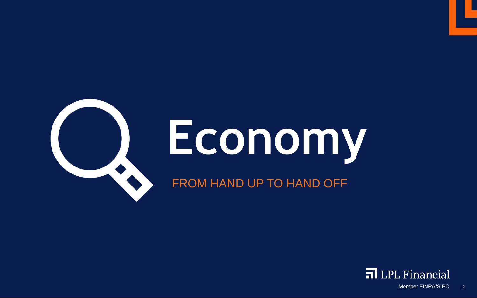

# **Economy**

FROM HAND UP TO HAND OFF

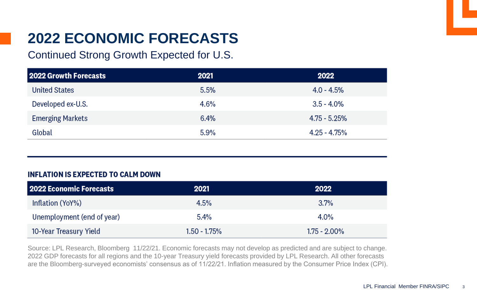# **2022 ECONOMIC FORECASTS**

### Continued Strong Growth Expected for U.S.

| 2022 Growth Forecasts   | 2021    | 2022            |
|-------------------------|---------|-----------------|
| <b>United States</b>    | 5.5%    | $4.0 - 4.5%$    |
| Developed ex-U.S.       | 4.6%    | $3.5 - 4.0\%$   |
| <b>Emerging Markets</b> | 6.4%    | $4.75 - 5.25%$  |
| Global                  | $5.9\%$ | $4.25 - 4.75\%$ |

### **INFLATION IS EXPECTED TO CALM DOWN**

| 2022 Economic Forecasts    | 2021         | 2022            |
|----------------------------|--------------|-----------------|
| Inflation (YoY%)           | 4.5%         | 3.7%            |
| Unemployment (end of year) | 5.4%         | $4.0\%$         |
| 10-Year Treasury Yield     | 1.50 - 1.75% | $1.75 - 2.00\%$ |

Source: LPL Research, Bloomberg 11/22/21. Economic forecasts may not develop as predicted and are subject to change. 2022 GDP forecasts for all regions and the 10-year Treasury yield forecasts provided by LPL Research. All other forecasts are the Bloomberg-surveyed economists' consensus as of 11/22/21. Inflation measured by the Consumer Price Index (CPI).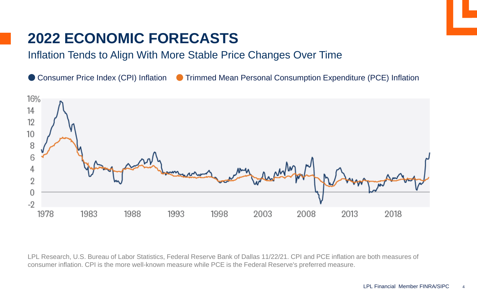### **2022 ECONOMIC FORECASTS**

### Inflation Tends to Align With More Stable Price Changes Over Time

Consumer Price Index (CPI) Inflation C Trimmed Mean Personal Consumption Expenditure (PCE) Inflation



LPL Research, U.S. Bureau of Labor Statistics, Federal Reserve Bank of Dallas 11/22/21. CPI and PCE inflation are both measures of consumer inflation. CPI is the more well-known measure while PCE is the Federal Reserve's preferred measure.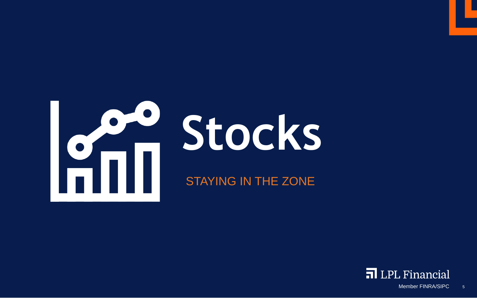

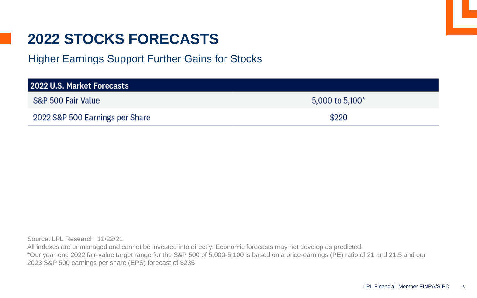Higher Earnings Support Further Gains for Stocks

| 2022 U.S. Market Forecasts      |                    |  |  |
|---------------------------------|--------------------|--|--|
| S&P 500 Fair Value              | 5,000 to 5,100 $*$ |  |  |
| 2022 S&P 500 Earnings per Share | \$220              |  |  |

Source: LPL Research 11/22/21 All indexes are unmanaged and cannot be invested into directly. Economic forecasts may not develop as predicted. \*Our year-end 2022 fair-value target range for the S&P 500 of 5,000-5,100 is based on a price-earnings (PE) ratio of 21 and 21.5 and our 2023 S&P 500 earnings per share (EPS) forecast of \$235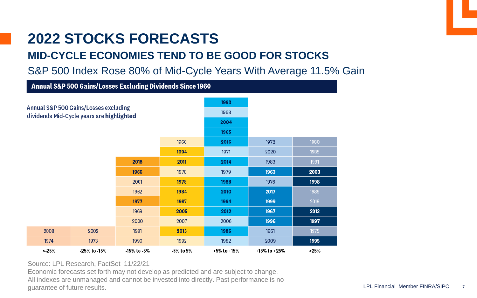

### **MID-CYCLE ECONOMIES TEND TO BE GOOD FOR STOCKS**

S&P 500 Index Rose 80% of Mid-Cycle Years With Average 11.5% Gain

| <b>Annual S&amp;P 500 Gains/Losses Excluding Dividends Since 1960</b>              |              |             |           |             |              |      |
|------------------------------------------------------------------------------------|--------------|-------------|-----------|-------------|--------------|------|
| Annual S&P 500 Gains/Losses excluding<br>dividends Mid-Cycle years are highlighted |              |             | 1993      |             |              |      |
|                                                                                    |              |             | 1968      |             |              |      |
|                                                                                    |              |             | 2004      |             |              |      |
|                                                                                    |              |             | 1965      |             |              |      |
| 1960                                                                               |              |             | 2016      | 1972        | 1980         |      |
|                                                                                    |              |             | 1994      | 1971        | 2020         | 1985 |
|                                                                                    |              | 2018        | 2011      | 2014        | 1983         | 1991 |
|                                                                                    |              | 1966        | 1970      | 1979        | 1963         | 2003 |
|                                                                                    |              | 2001        | 1978      | 1988        | 1976         | 1998 |
|                                                                                    |              | 1962        | 1984      | 2010        | 2017         | 1989 |
|                                                                                    |              | 1977        | 1987      | 1964        | 1999         | 2019 |
|                                                                                    |              | 1969        | 2005      | 2012        | 1967         | 2013 |
|                                                                                    |              | 2000        | 2007      | 2006        | 1996         | 1997 |
| 2008                                                                               | 2002         | 1981        | 2015      | 1986        | 1961         | 1975 |
| 1974                                                                               | 1973         | 1990        | 1992      | 1982        | 2009         | 1995 |
| < 25%                                                                              | -25% to -15% | -15% to -5% | -5% to 5% | +5% to +15% | +15% to +25% | >25% |

Source: LPL Research, FactSet 11/22/21

Economic forecasts set forth may not develop as predicted and are subject to change. All indexes are unmanaged and cannot be invested into directly. Past performance is no guarantee of future results.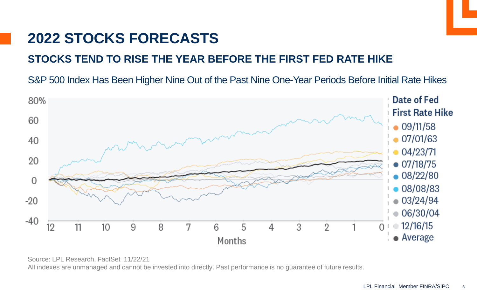

### **STOCKS TEND TO RISE THE YEAR BEFORE THE FIRST FED RATE HIKE**

S&P 500 Index Has Been Higher Nine Out of the Past Nine One-Year Periods Before Initial Rate Hikes



Source: LPL Research, FactSet 11/22/21 All indexes are unmanaged and cannot be invested into directly. Past performance is no guarantee of future results.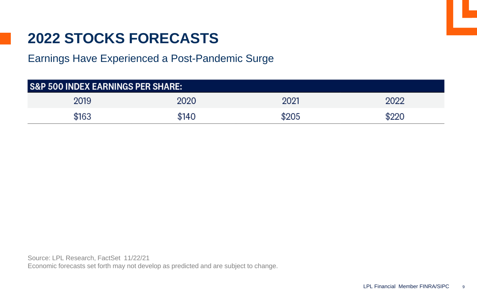Earnings Have Experienced a Post-Pandemic Surge

| <b>S&amp;P 500 INDEX EARNINGS PER SHARE:</b> |       |       |     |  |
|----------------------------------------------|-------|-------|-----|--|
| 2019                                         | 2020  | 2021  | פחנ |  |
| \$163                                        | \$140 | \$205 |     |  |

Source: LPL Research, FactSet 11/22/21

Economic forecasts set forth may not develop as predicted and are subject to change.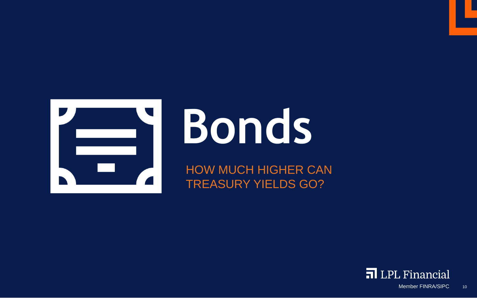

# **Bonds**

HOW MUCH HIGHER CAN TREASURY YIELDS GO?

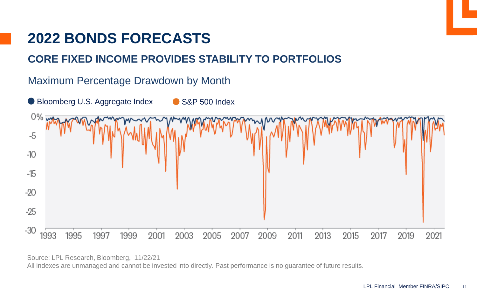### **2022 BONDS FORECASTS**

### **CORE FIXED INCOME PROVIDES STABILITY TO PORTFOLIOS**



Source: LPL Research, Bloomberg, 11/22/21 All indexes are unmanaged and cannot be invested into directly. Past performance is no guarantee of future results.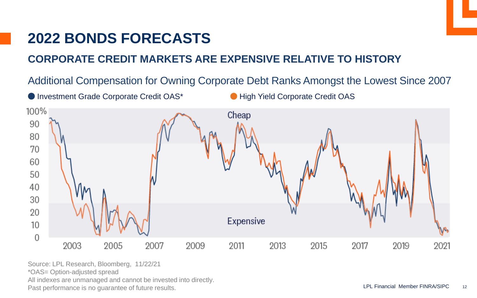# **2022 BONDS FORECASTS**

### **CORPORATE CREDIT MARKETS ARE EXPENSIVE RELATIVE TO HISTORY**

Additional Compensation for Owning Corporate Debt Ranks Amongst the Lowest Since 2007



Past performance is no guarantee of future results. The sample of the state of the contract of the results. Source: LPL Research, Bloomberg, 11/22/21 \*OAS= Option-adjusted spread All indexes are unmanaged and cannot be invested into directly.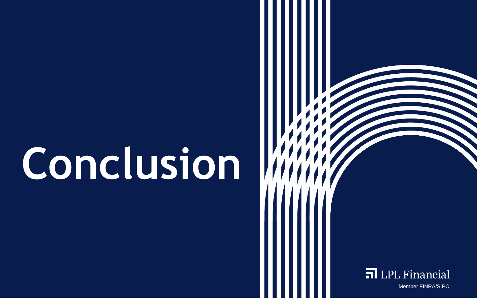# **Conclusion**



Member FINRA/SIPC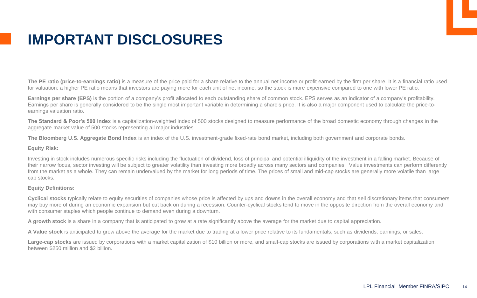# **IMPORTANT DISCLOSURES**

The PE ratio (price-to-earnings ratio) is a measure of the price paid for a share relative to the annual net income or profit earned by the firm per share. It is a financial ratio used for valuation: a higher PE ratio means that investors are paying more for each unit of net income, so the stock is more expensive compared to one with lower PE ratio.

**Earnings per share (EPS)** is the portion of a company's profit allocated to each outstanding share of common stock. EPS serves as an indicator of a company's profitability. Earnings per share is generally considered to be the single most important variable in determining a share's price. It is also a major component used to calculate the price-toearnings valuation ratio.

**The Standard & Poor's 500 Index** is a capitalization-weighted index of 500 stocks designed to measure performance of the broad domestic economy through changes in the aggregate market value of 500 stocks representing all major industries.

**The Bloomberg U.S. Aggregate Bond Index** is an index of the U.S. investment-grade fixed-rate bond market, including both government and corporate bonds.

### **Equity Risk:**

Subhead if necessary Investing in stock includes numerous specific risks including the fluctuation of dividend, loss of principal and potential illiquidity of the investment in a falling market. Because of their narrow focus, sector investing will be subject to greater volatility than investing more broadly across many sectors and companies. Value investments can perform differently from the market as a whole. They can remain undervalued by the market for long periods of time. The prices of small and mid-cap stocks are generally more volatile than large cap stocks.

### **Equity Definitions:**

**Cyclical stocks** typically relate to equity securities of companies whose price is affected by ups and downs in the overall economy and that sell discretionary items that consumers may buy more of during an economic expansion but cut back on during a recession. Counter-cyclical stocks tend to move in the opposite direction from the overall economy and with consumer staples which people continue to demand even during a downturn.

**A growth stock** is a share in a company that is anticipated to grow at a rate significantly above the average for the market due to capital appreciation.

**A Value stock** is anticipated to grow above the average for the market due to trading at a lower price relative to its fundamentals, such as dividends, earnings, or sales.

Large-cap stocks are issued by corporations with a market capitalization of \$10 billion or more, and small-cap stocks are issued by corporations with a market capitalization between \$250 million and \$2 billion.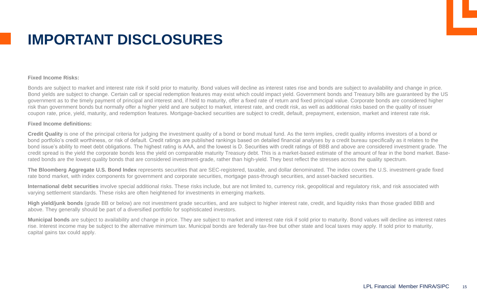# **IMPORTANT DISCLOSURES**

### **Fixed Income Risks:**

Bonds are subject to market and interest rate risk if sold prior to maturity. Bond values will decline as interest rates rise and bonds are subject to availability and change in price. Bond yields are subject to change. Certain call or special redemption features may exist which could impact yield. Government bonds and Treasury bills are guaranteed by the US government as to the timely payment of principal and interest and, if held to maturity, offer a fixed rate of return and fixed principal value. Corporate bonds are considered higher risk than government bonds but normally offer a higher yield and are subject to market, interest rate, and credit risk, as well as additional risks based on the quality of issuer coupon rate, price, yield, maturity, and redemption features. Mortgage-backed securities are subject to credit, default, prepayment, extension, market and interest rate risk.

### **Fixed Income definitions:**

**Credit Quality** is one of the principal criteria for judging the investment quality of a bond or bond mutual fund. As the term implies, credit quality informs investors of a bond or bond portfolio's credit worthiness, or risk of default. Credit ratings are published rankings based on detailed financial analyses by a credit bureau specifically as it relates to the bond issue's ability to meet debt obligations. The highest rating is AAA, and the lowest is D. Securities with credit ratings of BBB and above are considered investment grade. The credit spread is the yield the corporate bonds less the yield on comparable maturity Treasury debt. This is a market-based estimate of the amount of fear in the bond market. Baserated bonds are the lowest quality bonds that are considered investment-grade, rather than high-yield. They best reflect the stresses across the quality spectrum.

rate bond market, with index components for government and corporate securities, mortgage pass-through securities, and asset-backed securities. **The Bloomberg Aggregate U.S. Bond Index** represents securities that are SEC-registered, taxable, and dollar denominated. The index covers the U.S. investment-grade fixed

**International debt securities** involve special additional risks. These risks include, but are not limited to, currency risk, geopolitical and regulatory risk, and risk associated with varying settlement standards. These risks are often heightened for investments in emerging markets.

High yield/junk bonds (grade BB or below) are not investment grade securities, and are subject to higher interest rate, credit, and liquidity risks than those graded BBB and above. They generally should be part of a diversified portfolio for sophisticated investors.

Municipal bonds are subject to availability and change in price. They are subject to market and interest rate risk if sold prior to maturity. Bond values will decline as interest rates rise. Interest income may be subject to the alternative minimum tax. Municipal bonds are federally tax-free but other state and local taxes may apply. If sold prior to maturity, capital gains tax could apply.